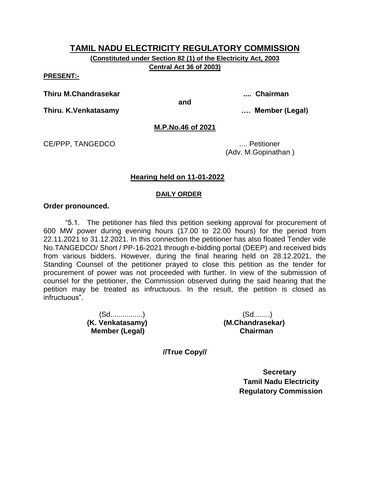**(Constituted under Section 82 (1) of the Electricity Act, 2003 Central Act 36 of 2003)**

**PRESENT:-**

**Thiru M.Chandrasekar .... Chairman**

**and**

**Thiru. K.Venkatasamy …. Member (Legal)**

## **M.P.No.46 of 2021**

CE/PPP, TANGEDCO .... Petitioner

(Adv. M.Gopinathan )

## **Hearing held on 11-01-2022**

#### **DAILY ORDER**

#### **Order pronounced.**

"5.1. The petitioner has filed this petition seeking approval for procurement of 600 MW power during evening hours (17.00 to 22.00 hours) for the period from 22.11.2021 to 31.12.2021. In this connection the petitioner has also floated Tender vide No.TANGEDCO/ Short / PP-16-2021 through e-bidding portal (DEEP) and received bids from various bidders. However, during the final hearing held on 28.12.2021, the Standing Counsel of the petitioner prayed to close this petition as the tender for procurement of power was not proceeded with further. In view of the submission of counsel for the petitioner, the Commission observed during the said hearing that the petition may be treated as infructuous. In the result, the petition is closed as infructuous".

> (Sd................) (Sd........) **(K. Venkatasamy) (M.Chandrasekar) Member (Legal) Chairman**

**//True Copy//**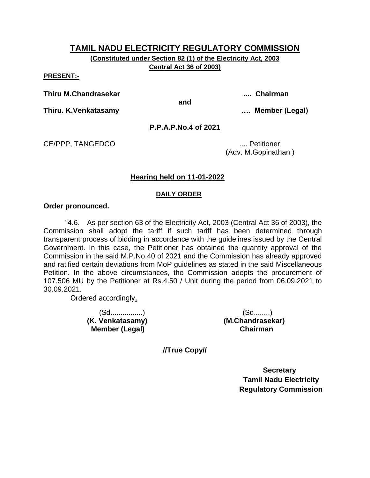**(Constituted under Section 82 (1) of the Electricity Act, 2003 Central Act 36 of 2003)**

**PRESENT:-**

**Thiru M.Chandrasekar .... Chairman**

**and**

**Thiru. K.Venkatasamy …. Member (Legal)**

## **P.P.A.P.No.4 of 2021**

CE/PPP, TANGEDCO .... Petitioner

(Adv. M.Gopinathan )

## **Hearing held on 11-01-2022**

## **DAILY ORDER**

#### **Order pronounced.**

"4.6. As per section 63 of the Electricity Act, 2003 (Central Act 36 of 2003), the Commission shall adopt the tariff if such tariff has been determined through transparent process of bidding in accordance with the guidelines issued by the Central Government. In this case, the Petitioner has obtained the quantity approval of the Commission in the said M.P.No.40 of 2021 and the Commission has already approved and ratified certain deviations from MoP guidelines as stated in the said Miscellaneous Petition. In the above circumstances, the Commission adopts the procurement of 107.506 MU by the Petitioner at Rs.4.50 / Unit during the period from 06.09.2021 to 30.09.2021.

Ordered accordingly.

**(K. Venkatasamy) (M.Chandrasekar) Member (Legal) Chairman**

(Sd................) (Sd........)

**//True Copy//**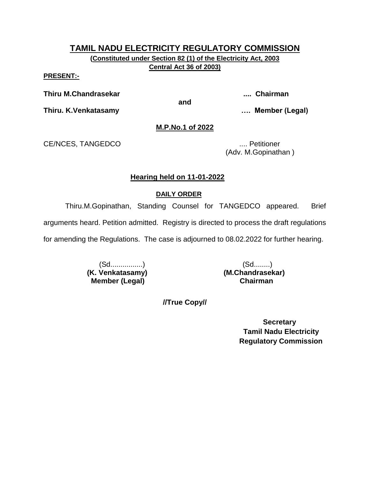**(Constituted under Section 82 (1) of the Electricity Act, 2003 Central Act 36 of 2003)**

**PRESENT:-**

**Thiru M.Chandrasekar .... Chairman**

**and**

**Thiru. K.Venkatasamy …. Member (Legal)**

## **M.P.No.1 of 2022**

CE/NCES, TANGEDCO .... Petitioner

(Adv. M.Gopinathan )

## **Hearing held on 11-01-2022**

## **DAILY ORDER**

Thiru.M.Gopinathan, Standing Counsel for TANGEDCO appeared. Brief

arguments heard. Petition admitted. Registry is directed to process the draft regulations

for amending the Regulations. The case is adjourned to 08.02.2022 for further hearing.

**(K. Venkatasamy) (M.Chandrasekar) Member (Legal) Chairman**

(Sd................) (Sd........)

**//True Copy//**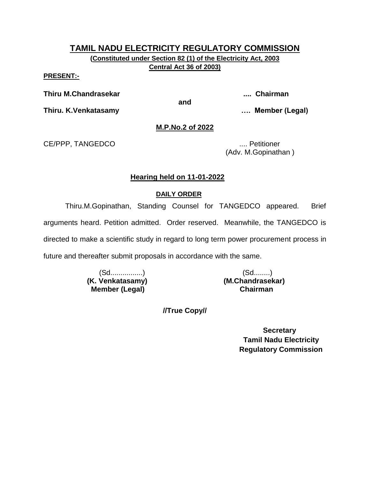**(Constituted under Section 82 (1) of the Electricity Act, 2003 Central Act 36 of 2003)**

**PRESENT:-**

**Thiru M.Chandrasekar .... Chairman**

**and**

**Thiru. K.Venkatasamy …. Member (Legal)**

## **M.P.No.2 of 2022**

CE/PPP, TANGEDCO .... Petitioner

(Adv. M.Gopinathan )

## **Hearing held on 11-01-2022**

## **DAILY ORDER**

Thiru.M.Gopinathan, Standing Counsel for TANGEDCO appeared. Brief arguments heard. Petition admitted. Order reserved. Meanwhile, the TANGEDCO is directed to make a scientific study in regard to long term power procurement process in future and thereafter submit proposals in accordance with the same.

> (Sd................) (Sd........) **(K. Venkatasamy) (M.Chandrasekar) Member (Legal) Chairman**

**//True Copy//**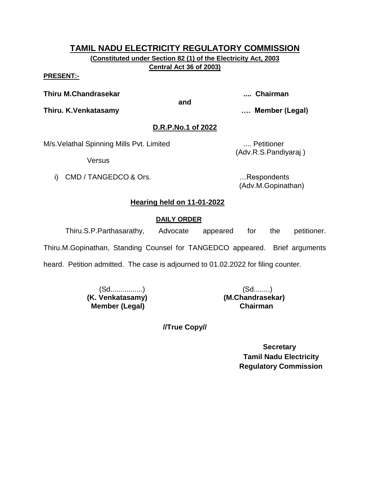**(Constituted under Section 82 (1) of the Electricity Act, 2003 Central Act 36 of 2003)**

#### **PRESENT:-**

**Thiru M.Chandrasekar .... Chairman**

**and**

**Thiru. K.Venkatasamy …. Member (Legal)**

## **D.R.P.No.1 of 2022**

M/s. Velathal Spinning Mills Pvt. Limited .... Petitioner

**Versus** 

i) CMD / TANGEDCO & Ors. **Example 20** in the second control of the second control of the second control of the second control of the second control of the second control of the second control of the second control of the s

(Adv.R.S.Pandiyaraj )

(Adv.M.Gopinathan)

# **Hearing held on 11-01-2022**

## **DAILY ORDER**

Thiru.S.P.Parthasarathy, Advocate appeared for the petitioner.

Thiru.M.Gopinathan, Standing Counsel for TANGEDCO appeared. Brief arguments

heard. Petition admitted. The case is adjourned to 01.02.2022 for filing counter.

 (Sd................) (Sd........) **(K. Venkatasamy) (M.Chandrasekar) Member (Legal) Chairman**

**//True Copy//**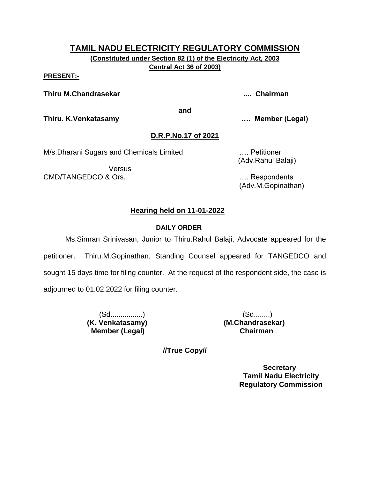**(Constituted under Section 82 (1) of the Electricity Act, 2003 Central Act 36 of 2003)**

#### **PRESENT:-**

**Thiru M.Chandrasekar .... Chairman**

**and**

**Thiru. K.Venkatasamy …. Member (Legal)**

# **D.R.P.No.17 of 2021**

M/s.Dharani Sugars and Chemicals Limited …. Petitioner

Versus CMD/TANGEDCO & Ors. …. Respondents

(Adv.Rahul Balaji)

(Adv.M.Gopinathan)

# **Hearing held on 11-01-2022**

## **DAILY ORDER**

Ms.Simran Srinivasan, Junior to Thiru.Rahul Balaji, Advocate appeared for the petitioner. Thiru.M.Gopinathan, Standing Counsel appeared for TANGEDCO and sought 15 days time for filing counter. At the request of the respondent side, the case is adjourned to 01.02.2022 for filing counter.

> (Sd................) (Sd........) **(K. Venkatasamy) (M.Chandrasekar) Member (Legal) Chairman**

**//True Copy//**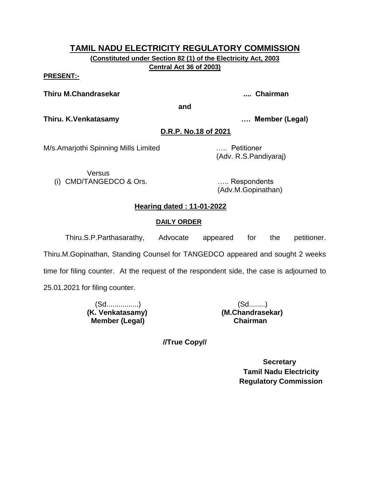**(Constituted under Section 82 (1) of the Electricity Act, 2003 Central Act 36 of 2003)**

#### **PRESENT:-**

**Thiru M.Chandrasekar .... Chairman**

**and**

**Thiru. K.Venkatasamy …. Member (Legal)**

## **D.R.P. No.18 of 2021**

M/s.Amarjothi Spinning Mills Limited ….. Petitioner

(Adv. R.S.Pandiyaraj)

Versus (i) CMD/TANGEDCO & Ors. ….. Respondents

(Adv.M.Gopinathan)

# **Hearing dated : 11-01-2022**

# **DAILY ORDER**

Thiru.S.P.Parthasarathy, Advocate appeared for the petitioner. Thiru.M.Gopinathan, Standing Counsel for TANGEDCO appeared and sought 2 weeks time for filing counter. At the request of the respondent side, the case is adjourned to 25.01.2021 for filing counter.

> (Sd................) (Sd........) **Member (Legal)**

**(K. Venkatasamy) (M.Chandrasekar)**

**//True Copy//**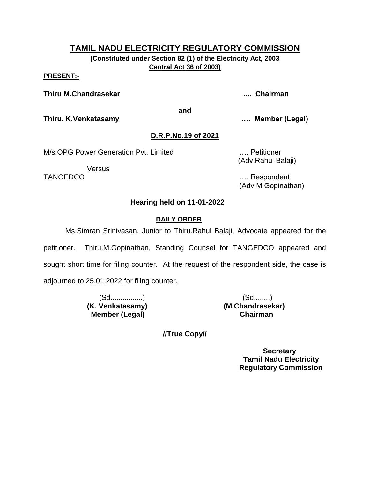**(Constituted under Section 82 (1) of the Electricity Act, 2003 Central Act 36 of 2003)**

#### **PRESENT:-**

**Thiru M.Chandrasekar .... Chairman**

**and**

**Thiru. K.Venkatasamy …. Member (Legal)**

# **D.R.P.No.19 of 2021**

M/s.OPG Power Generation Pvt. Limited …. Petitioner

Versus

(Adv.Rahul Balaji)

TANGEDCO …. Respondent (Adv.M.Gopinathan)

## **Hearing held on 11-01-2022**

## **DAILY ORDER**

Ms.Simran Srinivasan, Junior to Thiru.Rahul Balaji, Advocate appeared for the

petitioner. Thiru.M.Gopinathan, Standing Counsel for TANGEDCO appeared and sought short time for filing counter. At the request of the respondent side, the case is adjourned to 25.01.2022 for filing counter.

> **(K. Venkatasamy) (M.Chandrasekar) Member (Legal) Chairman**

(Sd................) (Sd........)

**//True Copy//**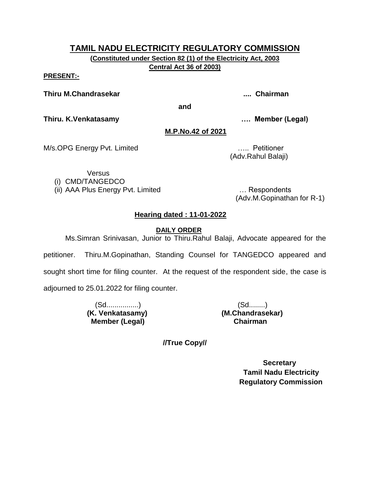**(Constituted under Section 82 (1) of the Electricity Act, 2003 Central Act 36 of 2003)**

#### **PRESENT:-**

**Thiru M.Chandrasekar .... Chairman**

**and**

**Thiru. K.Venkatasamy …. Member (Legal)**

## **M.P.No.42 of 2021**

M/s.OPG Energy Pvt. Limited **Example 20** 2008 2014 2015. All Petitioner

(Adv.Rahul Balaji)

Versus

(i) CMD/TANGEDCO

(ii) AAA Plus Energy Pvt. Limited … Respondents

(Adv.M.Gopinathan for R-1)

## **Hearing dated : 11-01-2022**

 **DAILY ORDER**

Ms.Simran Srinivasan, Junior to Thiru.Rahul Balaji, Advocate appeared for the petitioner. Thiru.M.Gopinathan, Standing Counsel for TANGEDCO appeared and sought short time for filing counter. At the request of the respondent side, the case is adjourned to 25.01.2022 for filing counter.

> (Sd................) (Sd........) **(K. Venkatasamy) (M.Chandrasekar) Member (Legal) Chairman**

**//True Copy//**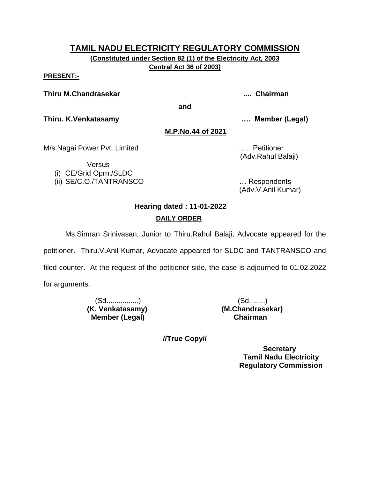**(Constituted under Section 82 (1) of the Electricity Act, 2003 Central Act 36 of 2003)**

#### **PRESENT:-**

#### **Thiru M.Chandrasekar .... Chairman**

**and**

**Thiru. K.Venkatasamy …. Member (Legal)**

**M.P.No.44 of 2021**

M/s.Nagai Power Pvt. Limited **Example 20 and 10 years of the Control** of the MS.Nagai Power Pvt.

Versus (i) CE/Grid Oprn./SLDC (Adv.Rahul Balaji)

(ii) SE/C.O./TANTRANSCO … Respondents (Adv.V.Anil Kumar)

# **Hearing dated : 11-01-2022**

## **DAILY ORDER**

Ms.Simran Srinivasan, Junior to Thiru.Rahul Balaji, Advocate appeared for the

petitioner. Thiru.V.Anil Kumar, Advocate appeared for SLDC and TANTRANSCO and

filed counter. At the request of the petitioner side, the case is adjourned to 01.02.2022

for arguments.

 (Sd................) (Sd........)  **Member (Legal) Chairman**

**(K. Venkatasamy) (M.Chandrasekar)**

**//True Copy//**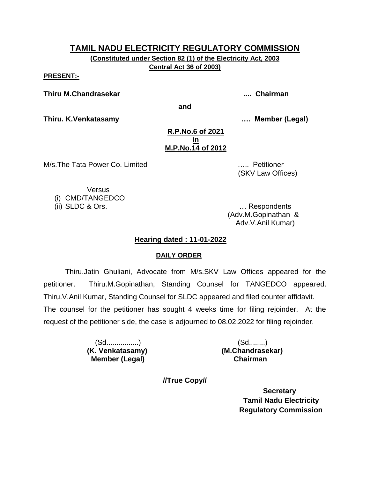**(Constituted under Section 82 (1) of the Electricity Act, 2003 Central Act 36 of 2003)**

**PRESENT:-**

**Thiru M.Chandrasekar .... Chairman**

**and**

**Thiru. K.Venkatasamy …. Member (Legal)**

#### **R.P.No.6 of 2021 in M.P.No.14 of 2012**

M/s.The Tata Power Co. Limited ….. Petitioner

(SKV Law Offices)

**Versus** (i) CMD/TANGEDCO

(ii) SLDC & Ors. … Respondents (Adv.M.Gopinathan & Adv.V.Anil Kumar)

## **Hearing dated : 11-01-2022**

## **DAILY ORDER**

Thiru.Jatin Ghuliani, Advocate from M/s.SKV Law Offices appeared for the petitioner. Thiru.M.Gopinathan, Standing Counsel for TANGEDCO appeared. Thiru.V.Anil Kumar, Standing Counsel for SLDC appeared and filed counter affidavit. The counsel for the petitioner has sought 4 weeks time for filing rejoinder. At the request of the petitioner side, the case is adjourned to 08.02.2022 for filing rejoinder.

> (Sd................) (Sd........)  **Member (Legal) Chairman**

**(K. Venkatasamy) (M.Chandrasekar)**

**//True Copy//**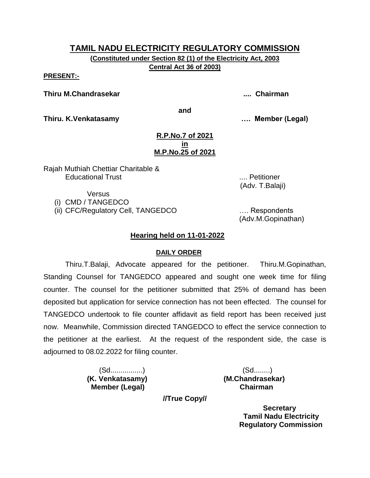**(Constituted under Section 82 (1) of the Electricity Act, 2003 Central Act 36 of 2003)**

**PRESENT:-**

**Thiru M.Chandrasekar .... Chairman**

**and**

**Thiru. K.Venkatasamy …. Member (Legal)**

#### **R.P.No.7 of 2021 in M.P.No.25 of 2021**

Rajah Muthiah Chettiar Charitable & Educational Trust .... Petitioner

(Adv. T.Balaji)

Versus (i) CMD / TANGEDCO

(ii) CFC/Regulatory Cell, TANGEDCO …. Respondents

(Adv.M.Gopinathan)

## **Hearing held on 11-01-2022**

#### **DAILY ORDER**

Thiru.T.Balaji, Advocate appeared for the petitioner. Thiru.M.Gopinathan, Standing Counsel for TANGEDCO appeared and sought one week time for filing counter. The counsel for the petitioner submitted that 25% of demand has been deposited but application for service connection has not been effected. The counsel for TANGEDCO undertook to file counter affidavit as field report has been received just now. Meanwhile, Commission directed TANGEDCO to effect the service connection to the petitioner at the earliest. At the request of the respondent side, the case is adjourned to 08.02.2022 for filing counter.

 **Member (Legal) Chairman**

 (Sd................) (Sd........) **(K. Venkatasamy) (M.Chandrasekar)**

**//True Copy//**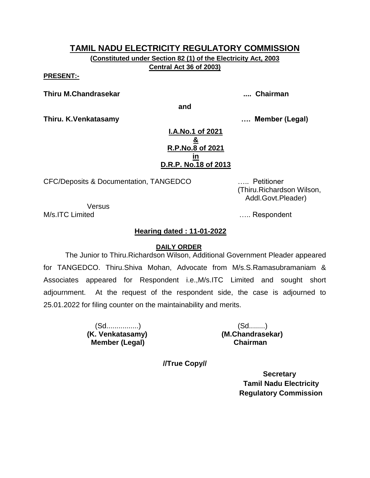**(Constituted under Section 82 (1) of the Electricity Act, 2003 Central Act 36 of 2003)**

**PRESENT:-**

**Thiru M.Chandrasekar .... Chairman**

**and**

**Thiru. K.Venkatasamy …. Member (Legal)**

**I.A.No.1 of 2021 & R.P.No.8 of 2021 in D.R.P. No.18 of 2013**

CFC/Deposits & Documentation, TANGEDCO ….. Petitioner

 (Thiru.Richardson Wilson, Addl.Govt.Pleader)

Versus

M/s.ITC Limited **M/s**.ITC Limited

# **Hearing dated : 11-01-2022**

#### **DAILY ORDER**

The Junior to Thiru.Richardson Wilson, Additional Government Pleader appeared for TANGEDCO. Thiru.Shiva Mohan, Advocate from M/s.S.Ramasubramaniam & Associates appeared for Respondent i.e.,M/s.ITC Limited and sought short adjournment. At the request of the respondent side, the case is adjourned to 25.01.2022 for filing counter on the maintainability and merits.

> (Sd................) (Sd........)  **Member (Legal) Chairman**

**(K. Venkatasamy) (M.Chandrasekar)**

**//True Copy//**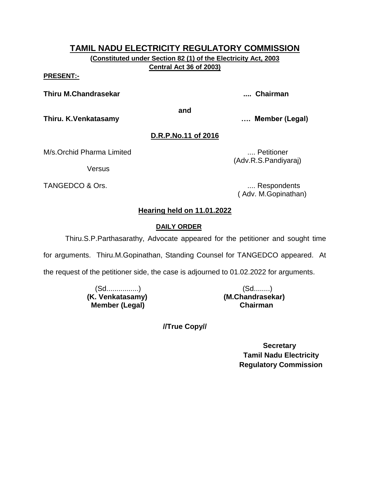**(Constituted under Section 82 (1) of the Electricity Act, 2003 Central Act 36 of 2003)**

**PRESENT:-**

**Thiru M.Chandrasekar .... Chairman**

**and**

**Thiru. K.Venkatasamy …. Member (Legal)**

# **D.R.P.No.11 of 2016**

M/s.Orchid Pharma Limited .... Petitioner

**Versus** 

TANGEDCO & Ors. **..... 2008** TANGEDCO & Ors.

(Adv.R.S.Pandiyaraj)

( Adv. M.Gopinathan)

# **Hearing held on 11.01.2022**

## **DAILY ORDER**

Thiru.S.P.Parthasarathy, Advocate appeared for the petitioner and sought time

for arguments. Thiru.M.Gopinathan, Standing Counsel for TANGEDCO appeared. At

the request of the petitioner side, the case is adjourned to 01.02.2022 for arguments.

 (Sd................) (Sd........) **(K. Venkatasamy) (M.Chandrasekar) Member (Legal) Chairman**

**//True Copy//**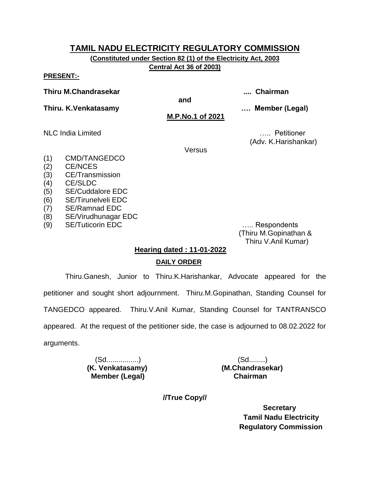**(Constituted under Section 82 (1) of the Electricity Act, 2003 Central Act 36 of 2003)**

**PRESENT:-**

**Thiru M.Chandrasekar .... Chairman**

**and**

**Thiru. K.Venkatasamy …. Member (Legal)**

**M.P.No.1 of 2021**

NLC India Limited ….. Petitioner (Adv. K.Harishankar)

Versus

- (1) CMD/TANGEDCO
- (2) CE/NCES
- (3) CE/Transmission
- (4) CE/SLDC
- (5) SE/Cuddalore EDC
- (6) SE/Tirunelveli EDC
- (7) SE/Ramnad EDC
- (8) SE/Virudhunagar EDC
- (9) SE/Tuticorin EDC ….. Respondents

 (Thiru M.Gopinathan & Thiru V.Anil Kumar)

# **Hearing dated : 11-01-2022 DAILY ORDER**

Thiru.Ganesh, Junior to Thiru.K.Harishankar, Advocate appeared for the petitioner and sought short adjournment. Thiru.M.Gopinathan, Standing Counsel for TANGEDCO appeared. Thiru.V.Anil Kumar, Standing Counsel for TANTRANSCO appeared. At the request of the petitioner side, the case is adjourned to 08.02.2022 for arguments.

> (Sd................) (Sd........)  **Member (Legal) Chairman**

**(K. Venkatasamy) (M.Chandrasekar)**

**//True Copy//**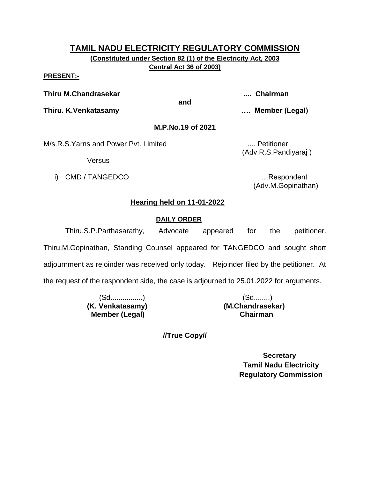**(Constituted under Section 82 (1) of the Electricity Act, 2003 Central Act 36 of 2003)**

#### **PRESENT:-**

**Thiru M.Chandrasekar .... Chairman**

**and**

**Thiru. K.Venkatasamy …. Member (Legal)**

## **M.P.No.19 of 2021**

M/s.R.S.Yarns and Power Pvt. Limited .... Petitioner

**Versus** 

i) CMD / TANGEDCO **in the set of the set of the set of the set of the set of the set of the set of the set of the set of the set of the set of the set of the set of the set of the set of the set of the set of the set of th** 

(Adv.R.S.Pandiyaraj )

(Adv.M.Gopinathan)

## **Hearing held on 11-01-2022**

## **DAILY ORDER**

Thiru.S.P.Parthasarathy, Advocate appeared for the petitioner.

Thiru.M.Gopinathan, Standing Counsel appeared for TANGEDCO and sought short

adjournment as rejoinder was received only today. Rejoinder filed by the petitioner. At

the request of the respondent side, the case is adjourned to 25.01.2022 for arguments.

 (Sd................) (Sd........) **(K. Venkatasamy) (M.Chandrasekar) Member (Legal) Chairman**

**//True Copy//**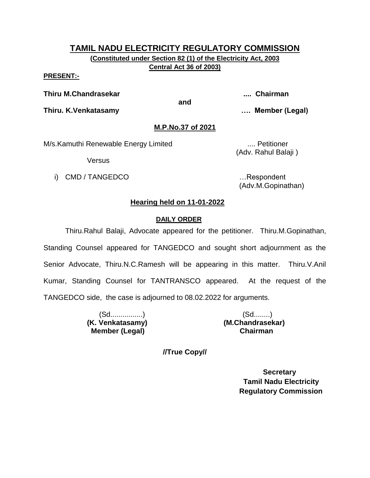**(Constituted under Section 82 (1) of the Electricity Act, 2003 Central Act 36 of 2003)**

#### **PRESENT:-**

**Thiru M.Chandrasekar .... Chairman**

**and**

**Thiru. K.Venkatasamy …. Member (Legal)**

## **M.P.No.37 of 2021**

M/s.Kamuthi Renewable Energy Limited .... Petitioner

**Versus** 

i) CMD / TANGEDCO **in the set of the set of the set of the set of the set of the set of the set of the set of the set of the set of the set of the set of the set of the set of the set of the set of the set of the set of th** 

(Adv. Rahul Balaji )

(Adv.M.Gopinathan)

## **Hearing held on 11-01-2022**

## **DAILY ORDER**

Thiru.Rahul Balaji, Advocate appeared for the petitioner. Thiru.M.Gopinathan, Standing Counsel appeared for TANGEDCO and sought short adjournment as the Senior Advocate, Thiru.N.C.Ramesh will be appearing in this matter. Thiru.V.Anil Kumar, Standing Counsel for TANTRANSCO appeared. At the request of the TANGEDCO side, the case is adjourned to 08.02.2022 for arguments.

> (Sd................) (Sd........) **(K. Venkatasamy) (M.Chandrasekar) Member (Legal) Chairman**

**//True Copy//**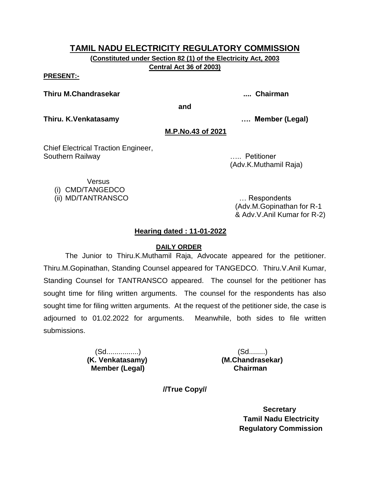**(Constituted under Section 82 (1) of the Electricity Act, 2003 Central Act 36 of 2003)**

#### **PRESENT:-**

**Thiru M.Chandrasekar .... Chairman**

**and**

**Thiru. K.Venkatasamy …. Member (Legal)**

#### **M.P.No.43 of 2021**

Chief Electrical Traction Engineer, Southern Railway ….. Petitioner

(Adv.K.Muthamil Raja)

**Versus** 

(i) CMD/TANGEDCO

(ii) MD/TANTRANSCO … Respondents

(Adv.M.Gopinathan for R-1 & Adv.V.Anil Kumar for R-2)

## **Hearing dated : 11-01-2022**

#### **DAILY ORDER**

The Junior to Thiru.K.Muthamil Raja, Advocate appeared for the petitioner. Thiru.M.Gopinathan, Standing Counsel appeared for TANGEDCO. Thiru.V.Anil Kumar, Standing Counsel for TANTRANSCO appeared. The counsel for the petitioner has sought time for filing written arguments. The counsel for the respondents has also sought time for filing written arguments. At the request of the petitioner side, the case is adjourned to 01.02.2022 for arguments. Meanwhile, both sides to file written submissions.

> (Sd................) (Sd........) **(K. Venkatasamy) (M.Chandrasekar) Member (Legal) Chairman**

**//True Copy//**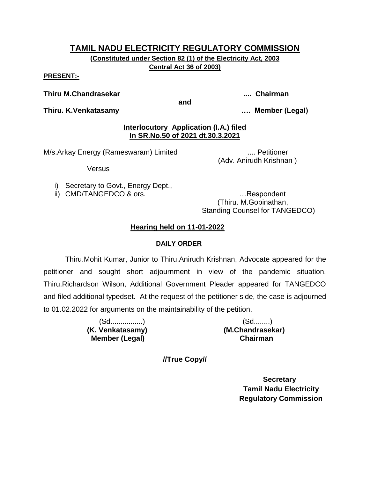**(Constituted under Section 82 (1) of the Electricity Act, 2003 Central Act 36 of 2003)**

#### **PRESENT:-**

#### **Thiru M.Chandrasekar .... Chairman**

**and**

**Thiru. K.Venkatasamy …. Member (Legal)**

## **Interlocutory Application (I.A.) filed In SR.No.50 of 2021 dt.30.3.2021**

M/s.Arkay Energy (Rameswaram) Limited ..... Petitioner

(Adv. Anirudh Krishnan )

Versus

- i) Secretary to Govt., Energy Dept.,
- ii) CMD/TANGEDCO & ors. **EXECUTE:** 1...Respondent

(Thiru. M.Gopinathan, Standing Counsel for TANGEDCO)

# **Hearing held on 11-01-2022**

## **DAILY ORDER**

Thiru.Mohit Kumar, Junior to Thiru.Anirudh Krishnan, Advocate appeared for the petitioner and sought short adjournment in view of the pandemic situation. Thiru.Richardson Wilson, Additional Government Pleader appeared for TANGEDCO and filed additional typedset. At the request of the petitioner side, the case is adjourned to 01.02.2022 for arguments on the maintainability of the petition.

> (Sd................) (Sd........)  **Member (Legal) Chairman**

**(K. Venkatasamy) (M.Chandrasekar)**

**//True Copy//**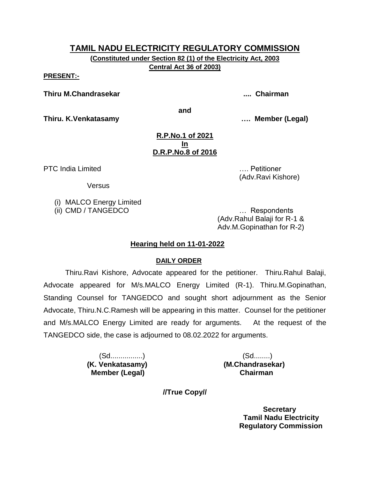**(Constituted under Section 82 (1) of the Electricity Act, 2003 Central Act 36 of 2003)**

**PRESENT:-**

**Thiru M.Chandrasekar .... Chairman**

**and**

**Thiru. K.Venkatasamy …. Member (Legal)**

#### **R.P.No.1 of 2021 In D.R.P.No.8 of 2016**

PTC India Limited **EXECUTE:** 2008. The set of the set of the set of the set of the set of the set of the set of the set of the set of the set of the set of the set of the set of the set of the set of the set of the set of

**Versus** 

(i) MALCO Energy Limited

(ii) CMD / TANGEDCO … Respondents (Adv.Rahul Balaji for R-1 &

(Adv.Ravi Kishore)

Adv.M.Gopinathan for R-2)

# **Hearing held on 11-01-2022**

# **DAILY ORDER**

Thiru.Ravi Kishore, Advocate appeared for the petitioner. Thiru.Rahul Balaji, Advocate appeared for M/s.MALCO Energy Limited (R-1). Thiru.M.Gopinathan, Standing Counsel for TANGEDCO and sought short adjournment as the Senior Advocate, Thiru.N.C.Ramesh will be appearing in this matter. Counsel for the petitioner and M/s.MALCO Energy Limited are ready for arguments. At the request of the TANGEDCO side, the case is adjourned to 08.02.2022 for arguments.

> (Sd................) (Sd........) **(K. Venkatasamy) (M.Chandrasekar) Member (Legal) Chairman**

**//True Copy//**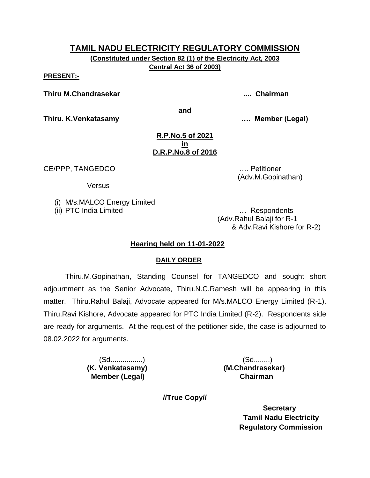**(Constituted under Section 82 (1) of the Electricity Act, 2003 Central Act 36 of 2003)**

**PRESENT:-**

**Thiru M.Chandrasekar .... Chairman**

**and**

**Thiru. K.Venkatasamy …. Member (Legal)**

#### **R.P.No.5 of 2021 in D.R.P.No.8 of 2016**

CE/PPP, TANGEDCO …. Petitioner

**Versus** 

(i) M/s.MALCO Energy Limited

(ii) PTC India Limited … Respondents (Adv.Rahul Balaji for R-1 & Adv.Ravi Kishore for R-2)

(Adv.M.Gopinathan)

# **Hearing held on 11-01-2022**

# **DAILY ORDER**

Thiru.M.Gopinathan, Standing Counsel for TANGEDCO and sought short adjournment as the Senior Advocate, Thiru.N.C.Ramesh will be appearing in this matter. Thiru.Rahul Balaji, Advocate appeared for M/s.MALCO Energy Limited (R-1). Thiru.Ravi Kishore, Advocate appeared for PTC India Limited (R-2). Respondents side are ready for arguments. At the request of the petitioner side, the case is adjourned to 08.02.2022 for arguments.

 **Member (Legal) Chairman**

 (Sd................) (Sd........) **(K. Venkatasamy) (M.Chandrasekar)**

**//True Copy//**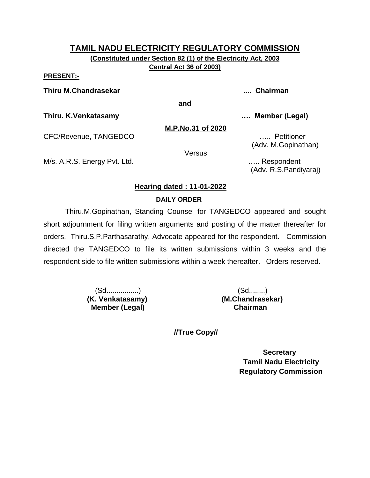**(Constituted under Section 82 (1) of the Electricity Act, 2003 Central Act 36 of 2003)**

#### **PRESENT:-**

**Thiru M.Chandrasekar .... Chairman**

**and**

**Thiru. K.Venkatasamy …. Member (Legal)**

**M.P.No.31 of 2020**

CFC/Revenue, TANGEDCO ….. Petitioner

(Adv. M.Gopinathan)

Versus

M/s. A.R.S. Energy Pvt. Ltd. **Example 20** 2004 2014 2015. Energy Pvt. Ltd.

(Adv. R.S.Pandiyaraj)

# **Hearing dated : 11-01-2022**

# **DAILY ORDER**

Thiru.M.Gopinathan, Standing Counsel for TANGEDCO appeared and sought short adjournment for filing written arguments and posting of the matter thereafter for orders. Thiru.S.P.Parthasarathy, Advocate appeared for the respondent. Commission directed the TANGEDCO to file its written submissions within 3 weeks and the respondent side to file written submissions within a week thereafter. Orders reserved.

> (Sd................) (Sd........) **Member (Legal)**

**(K. Venkatasamy) (M.Chandrasekar)**

 **//True Copy//**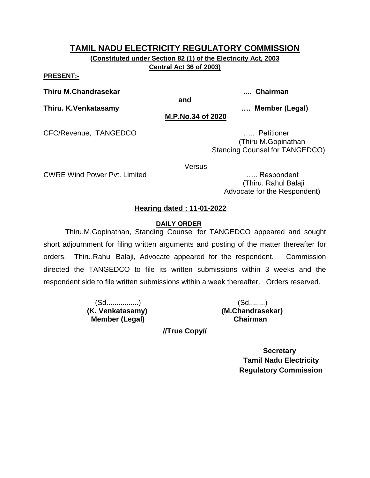**(Constituted under Section 82 (1) of the Electricity Act, 2003 Central Act 36 of 2003)**

**PRESENT:-**

**Thiru M.Chandrasekar .... Chairman**

**and**

**Thiru. K.Venkatasamy …. Member (Legal) M.P.No.34 of 2020**

CFC/Revenue, TANGEDCO ….. Petitioner

 (Thiru M.Gopinathan Standing Counsel for TANGEDCO)

Versus

CWRE Wind Power Pvt. Limited ….. Respondent

 (Thiru. Rahul Balaji Advocate for the Respondent)

# **Hearing dated : 11-01-2022**

## **DAILY ORDER**

Thiru.M.Gopinathan, Standing Counsel for TANGEDCO appeared and sought short adjournment for filing written arguments and posting of the matter thereafter for orders. Thiru.Rahul Balaji, Advocate appeared for the respondent. Commission directed the TANGEDCO to file its written submissions within 3 weeks and the respondent side to file written submissions within a week thereafter. Orders reserved.

> (Sd................) (Sd........)  **Member (Legal) Chairman**

**(K. Venkatasamy) (M.Chandrasekar)**

**//True Copy//**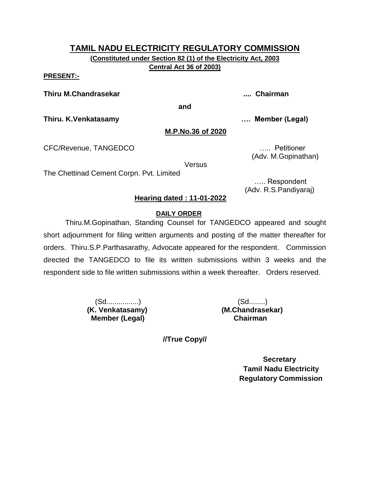**(Constituted under Section 82 (1) of the Electricity Act, 2003 Central Act 36 of 2003)**

**PRESENT:-**

**Thiru M.Chandrasekar .... Chairman**

**and**

**Thiru. K.Venkatasamy …. Member (Legal)**

#### **M.P.No.36 of 2020**

CFC/Revenue, TANGEDCO ….. Petitioner

**Versus** 

The Chettinad Cement Corpn. Pvt. Limited

 ….. Respondent (Adv. R.S.Pandiyaraj)

(Adv. M.Gopinathan)

## **Hearing dated : 11-01-2022**

#### **DAILY ORDER**

Thiru.M.Gopinathan, Standing Counsel for TANGEDCO appeared and sought short adjournment for filing written arguments and posting of the matter thereafter for orders. Thiru.S.P.Parthasarathy, Advocate appeared for the respondent. Commission directed the TANGEDCO to file its written submissions within 3 weeks and the respondent side to file written submissions within a week thereafter. Orders reserved.

> (Sd................) (Sd........)  **Member (Legal) Chairman**

**(K. Venkatasamy) (M.Chandrasekar)**

**//True Copy//**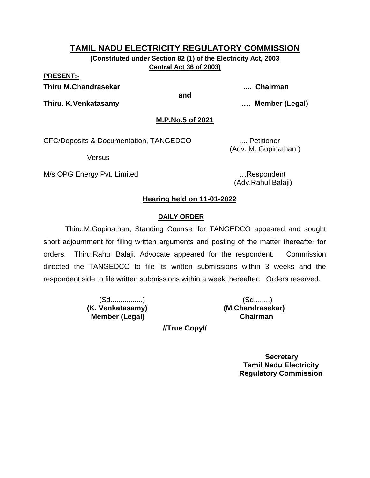# **TAMIL NADU ELECTRICITY REGULATORY COMMISSION (Constituted under Section 82 (1) of the Electricity Act, 2003**

**Central Act 36 of 2003)**

**PRESENT:-**

**Thiru M.Chandrasekar .... Chairman**

**and**

**Thiru. K.Venkatasamy …. Member (Legal)**

**M.P.No.5 of 2021**

CFC/Deposits & Documentation, TANGEDCO .... Petitioner

Versus

M/s.OPG Energy Pvt. Limited **Example 20** 1. Respondent

(Adv. M. Gopinathan )

(Adv.Rahul Balaji)

# **Hearing held on 11-01-2022**

# **DAILY ORDER**

Thiru.M.Gopinathan, Standing Counsel for TANGEDCO appeared and sought short adjournment for filing written arguments and posting of the matter thereafter for orders. Thiru.Rahul Balaji, Advocate appeared for the respondent. Commission directed the TANGEDCO to file its written submissions within 3 weeks and the respondent side to file written submissions within a week thereafter. Orders reserved.

> **(K. Venkatasamy) (M.Chandrasekar) Member (Legal) Chairman**

(Sd................) (Sd........)

**//True Copy//**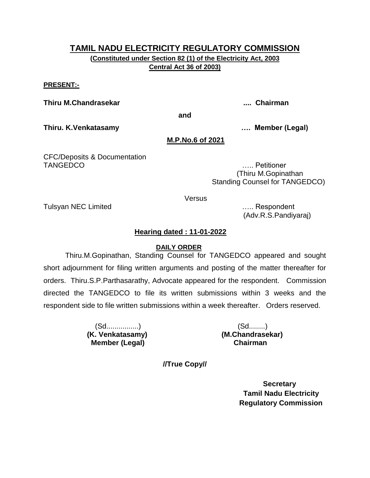**(Constituted under Section 82 (1) of the Electricity Act, 2003 Central Act 36 of 2003)**

#### **PRESENT:-**

**Thiru M.Chandrasekar .... Chairman**

**and**

**Thiru. K.Venkatasamy …. Member (Legal)**

#### **M.P.No.6 of 2021**

CFC/Deposits & Documentation TANGEDCO ….. Petitioner

 (Thiru M.Gopinathan Standing Counsel for TANGEDCO)

**Versus** 

Tulsyan NEC Limited ….. Respondent

(Adv.R.S.Pandiyaraj)

## **Hearing dated : 11-01-2022**

#### **DAILY ORDER**

Thiru.M.Gopinathan, Standing Counsel for TANGEDCO appeared and sought short adjournment for filing written arguments and posting of the matter thereafter for orders. Thiru.S.P.Parthasarathy, Advocate appeared for the respondent. Commission directed the TANGEDCO to file its written submissions within 3 weeks and the respondent side to file written submissions within a week thereafter. Orders reserved.

> (Sd................) (Sd........) **(K. Venkatasamy) (M.Chandrasekar) Member (Legal) Chairman**

**//True Copy//**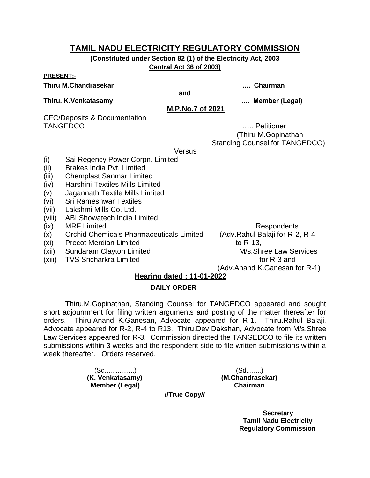**(Constituted under Section 82 (1) of the Electricity Act, 2003 Central Act 36 of 2003)**

#### **PRESENT:-**

#### **Thiru M.Chandrasekar .... Chairman**

**and**

#### **Thiru. K.Venkatasamy …. Member (Legal)**

**M.P.No.7 of 2021**

CFC/Deposits & Documentation TANGEDCO **Example 2018** 2019 12:00 Petitioner

 (Thiru M.Gopinathan Standing Counsel for TANGEDCO)

**Versus** 

- (i) Sai Regency Power Corpn. Limited
- (ii) Brakes India Pvt. Limited
- (iii) Chemplast Sanmar Limited
- (iv) Harshini Textiles Mills Limited
- (v) Jagannath Textile Mills Limited
- (vi) Sri Rameshwar Textiles
- (vii) Lakshmi Mills Co. Ltd.
- (viii) ABI Showatech India Limited
- (ix) MRF Limited …… Respondents
- (x) Orchid Chemicals Pharmaceuticals Limited (Adv.Rahul Balaji for R-2, R-4
- (xi) Precot Merdian Limited to R-13,
- (xii) Sundaram Clayton Limited M/s.Shree Law Services
- (xiii) TVS Sricharkra Limited for R-3 and

(Adv.Anand K.Ganesan for R-1)

## **Hearing dated : 11-01-2022**

## **DAILY ORDER**

Thiru.M.Gopinathan, Standing Counsel for TANGEDCO appeared and sought short adjournment for filing written arguments and posting of the matter thereafter for orders. Thiru.Anand K.Ganesan, Advocate appeared for R-1. Thiru.Rahul Balaji, Advocate appeared for R-2, R-4 to R13. Thiru.Dev Dakshan, Advocate from M/s.Shree Law Services appeared for R-3. Commission directed the TANGEDCO to file its written submissions within 3 weeks and the respondent side to file written submissions within a week thereafter. Orders reserved.

> (Sd................) (Sd........) **(K. Venkatasamy) (M.Chandrasekar) Member (Legal) Chairman**

**//True Copy//**